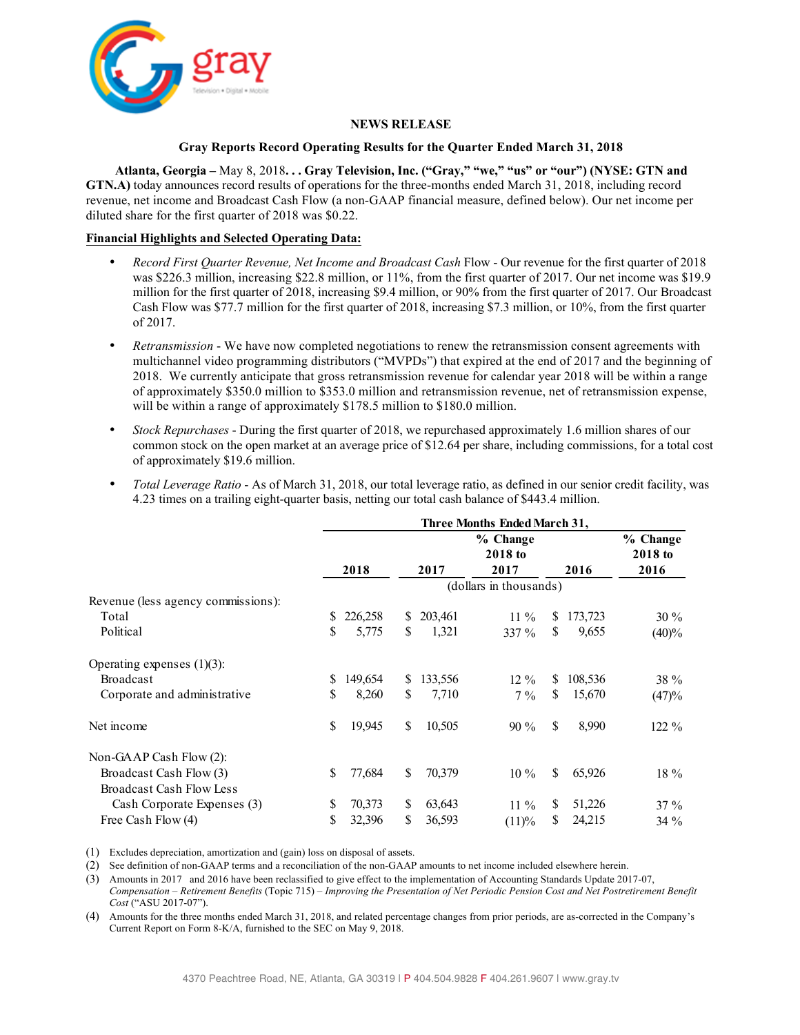

#### **NEWS RELEASE**

#### **Gray Reports Record Operating Results for the Quarter Ended March 31, 2018**

**Atlanta, Georgia –** May 8, 2018**. . . Gray Television, Inc. ("Gray," "we," "us" or "our") (NYSE: GTN and GTN.A)** today announces record results of operations for the three-months ended March 31, 2018, including record revenue, net income and Broadcast Cash Flow (a non-GAAP financial measure, defined below). Our net income per diluted share for the first quarter of 2018 was \$0.22.

#### **Financial Highlights and Selected Operating Data:**

- *Record First Quarter Revenue, Net Income and Broadcast Cash* Flow Our revenue for the first quarter of 2018 was \$226.3 million, increasing \$22.8 million, or 11%, from the first quarter of 2017. Our net income was \$19.9 million for the first quarter of 2018, increasing \$9.4 million, or 90% from the first quarter of 2017. Our Broadcast Cash Flow was \$77.7 million for the first quarter of 2018, increasing \$7.3 million, or 10%, from the first quarter of 2017.
- *Retransmission* We have now completed negotiations to renew the retransmission consent agreements with multichannel video programming distributors ("MVPDs") that expired at the end of 2017 and the beginning of 2018. We currently anticipate that gross retransmission revenue for calendar year 2018 will be within a range of approximately \$350.0 million to \$353.0 million and retransmission revenue, net of retransmission expense, will be within a range of approximately \$178.5 million to \$180.0 million.
- *Stock Repurchases* During the first quarter of 2018, we repurchased approximately 1.6 million shares of our common stock on the open market at an average price of \$12.64 per share, including commissions, for a total cost of approximately \$19.6 million.
- *Total Leverage Ratio* As of March 31, 2018, our total leverage ratio, as defined in our senior credit facility, was 4.23 times on a trailing eight-quarter basis, netting our total cash balance of \$443.4 million.

|                                    | Three Months Ended March 31, |         |    |         |                        |                     |         |          |
|------------------------------------|------------------------------|---------|----|---------|------------------------|---------------------|---------|----------|
|                                    |                              |         |    |         | % Change<br>2018 to    | % Change<br>2018 to |         |          |
|                                    |                              | 2018    |    | 2017    | 2017                   |                     | 2016    | 2016     |
|                                    |                              |         |    |         | (dollars in thousands) |                     |         |          |
| Revenue (less agency commissions): |                              |         |    |         |                        |                     |         |          |
| Total                              | \$                           | 226,258 | \$ | 203,461 | $11\%$                 | S                   | 173,723 | $30\%$   |
| Political                          | \$                           | 5,775   | \$ | 1,321   | $337\%$                | \$                  | 9,655   | (40)%    |
| Operating expenses $(1)(3)$ :      |                              |         |    |         |                        |                     |         |          |
| <b>Broadcast</b>                   | \$                           | 149,654 | \$ | 133,556 | $12\%$                 | \$                  | 108,536 | 38 %     |
| Corporate and administrative       | \$                           | 8,260   | \$ | 7,710   | $7\%$                  | \$                  | 15,670  | (47)%    |
| Net income                         | \$                           | 19,945  | \$ | 10,505  | $90\%$                 | \$                  | 8,990   | $122 \%$ |
| Non-GAAP Cash Flow $(2)$ :         |                              |         |    |         |                        |                     |         |          |
| Broadcast Cash Flow (3)            | \$                           | 77,684  | \$ | 70,379  | $10\%$                 | \$                  | 65,926  | $18\%$   |
| <b>Broadcast Cash Flow Less</b>    |                              |         |    |         |                        |                     |         |          |
| Cash Corporate Expenses (3)        | \$                           | 70,373  | \$ | 63,643  | $11\%$                 | \$                  | 51,226  | $37\%$   |
| Free Cash Flow (4)                 | \$                           | 32,396  | \$ | 36,593  | (11)%                  | \$                  | 24,215  | $34\%$   |

(1) Excludes depreciation, amortization and (gain) loss on disposal of assets.

(2) See definition of non-GAAP terms and a reconciliation of the non-GAAP amounts to net income included elsewhere herein.

(3) Amounts in 2017 and 2016 have been reclassified to give effect to the implementation of Accounting Standards Update 2017-07, *Compensation – Retirement Benefits* (Topic 715) – *Improving the Presentation of Net Periodic Pension Cost and Net Postretirement Benefit Cost* ("ASU 2017-07").

(4) Amounts for the three months ended March 31, 2018, and related percentage changes from prior periods, are as-corrected in the Company's Current Report on Form 8-K/A, furnished to the SEC on May 9, 2018.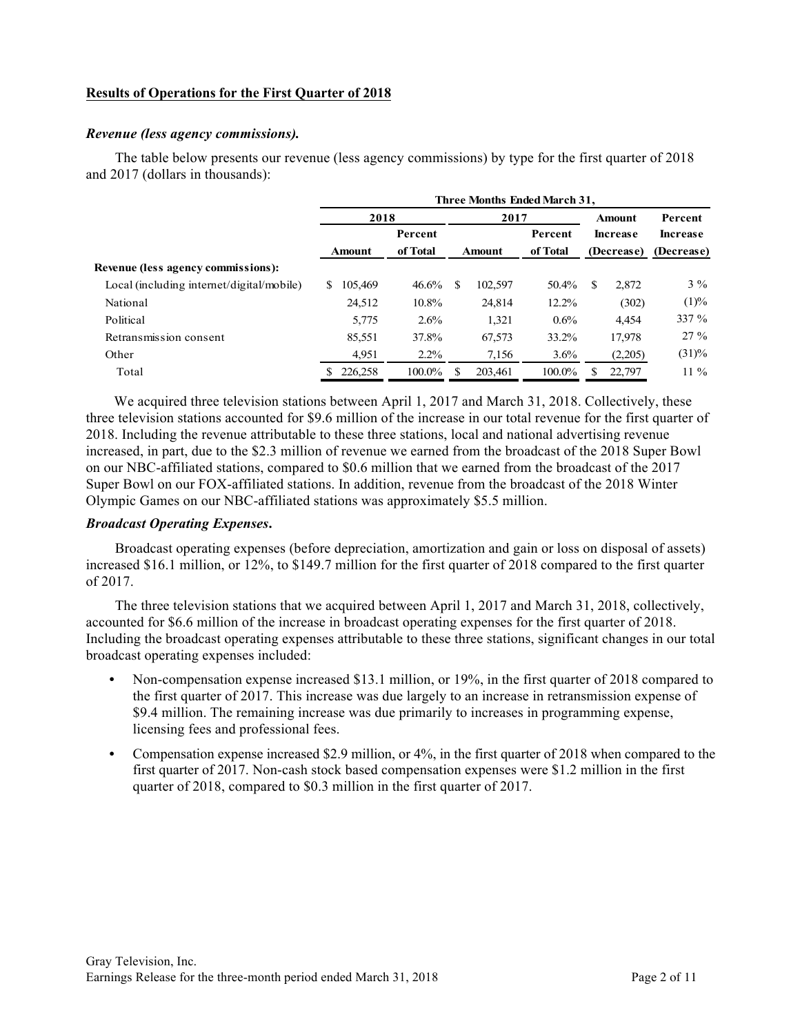### **Results of Operations for the First Quarter of 2018**

#### *Revenue (less agency commissions).*

The table below presents our revenue (less agency commissions) by type for the first quarter of 2018 and 2017 (dollars in thousands):

|                                           | Three Months Ended March 31, |          |     |               |          |                            |            |                 |  |
|-------------------------------------------|------------------------------|----------|-----|---------------|----------|----------------------------|------------|-----------------|--|
|                                           | 2018                         |          |     | 2017          |          |                            | Amount     | Percent         |  |
|                                           | Percent                      |          |     |               |          | Percent<br><b>Increase</b> |            | <b>Increase</b> |  |
|                                           | <b>Amount</b>                | of Total |     | <b>Amount</b> | of Total |                            | (Decrease) | (Decrease)      |  |
| Revenue (less agency commissions):        |                              |          |     |               |          |                            |            |                 |  |
| Local (including internet/digital/mobile) | 105.469<br>S.                | 46.6%    | \$. | 102,597       | 50.4%    | \$                         | 2,872      | $3\%$           |  |
| National                                  | 24,512                       | 10.8%    |     | 24.814        | 12.2%    |                            | (302)      | (1)%            |  |
| Political                                 | 5,775                        | 2.6%     |     | 1,321         | $0.6\%$  |                            | 4,454      | 337 %           |  |
| Retransmission consent                    | 85,551                       | 37.8%    |     | 67,573        | 33.2%    |                            | 17,978     | $27\%$          |  |
| Other                                     | 4,951                        | $2.2\%$  |     | 7,156         | $3.6\%$  |                            | (2,205)    | $(31)\%$        |  |
| Total                                     | 226,258                      | 100.0%   |     | 203,461       | 100.0%   |                            | 22,797     | $11\%$          |  |

We acquired three television stations between April 1, 2017 and March 31, 2018. Collectively, these three television stations accounted for \$9.6 million of the increase in our total revenue for the first quarter of 2018. Including the revenue attributable to these three stations, local and national advertising revenue increased, in part, due to the \$2.3 million of revenue we earned from the broadcast of the 2018 Super Bowl on our NBC-affiliated stations, compared to \$0.6 million that we earned from the broadcast of the 2017 Super Bowl on our FOX-affiliated stations. In addition, revenue from the broadcast of the 2018 Winter Olympic Games on our NBC-affiliated stations was approximately \$5.5 million.

#### *Broadcast Operating Expenses***.**

Broadcast operating expenses (before depreciation, amortization and gain or loss on disposal of assets) increased \$16.1 million, or 12%, to \$149.7 million for the first quarter of 2018 compared to the first quarter of 2017.

The three television stations that we acquired between April 1, 2017 and March 31, 2018, collectively, accounted for \$6.6 million of the increase in broadcast operating expenses for the first quarter of 2018. Including the broadcast operating expenses attributable to these three stations, significant changes in our total broadcast operating expenses included:

- Non-compensation expense increased \$13.1 million, or 19%, in the first quarter of 2018 compared to the first quarter of 2017. This increase was due largely to an increase in retransmission expense of \$9.4 million. The remaining increase was due primarily to increases in programming expense, licensing fees and professional fees.
- **•** Compensation expense increased \$2.9 million, or 4%, in the first quarter of 2018 when compared to the first quarter of 2017. Non-cash stock based compensation expenses were \$1.2 million in the first quarter of 2018, compared to \$0.3 million in the first quarter of 2017.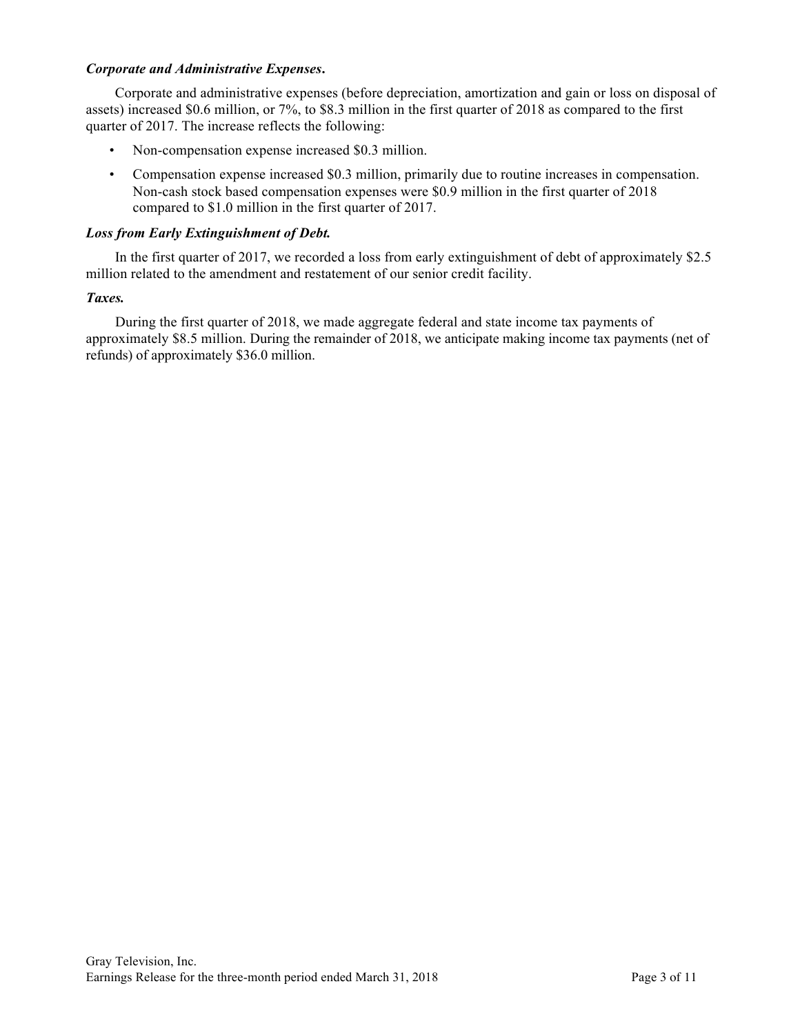#### *Corporate and Administrative Expenses***.**

Corporate and administrative expenses (before depreciation, amortization and gain or loss on disposal of assets) increased \$0.6 million, or 7%, to \$8.3 million in the first quarter of 2018 as compared to the first quarter of 2017. The increase reflects the following:

- Non-compensation expense increased \$0.3 million.
- Compensation expense increased \$0.3 million, primarily due to routine increases in compensation. Non-cash stock based compensation expenses were \$0.9 million in the first quarter of 2018 compared to \$1.0 million in the first quarter of 2017.

#### *Loss from Early Extinguishment of Debt.*

In the first quarter of 2017, we recorded a loss from early extinguishment of debt of approximately \$2.5 million related to the amendment and restatement of our senior credit facility.

#### *Taxes.*

During the first quarter of 2018, we made aggregate federal and state income tax payments of approximately \$8.5 million. During the remainder of 2018, we anticipate making income tax payments (net of refunds) of approximately \$36.0 million.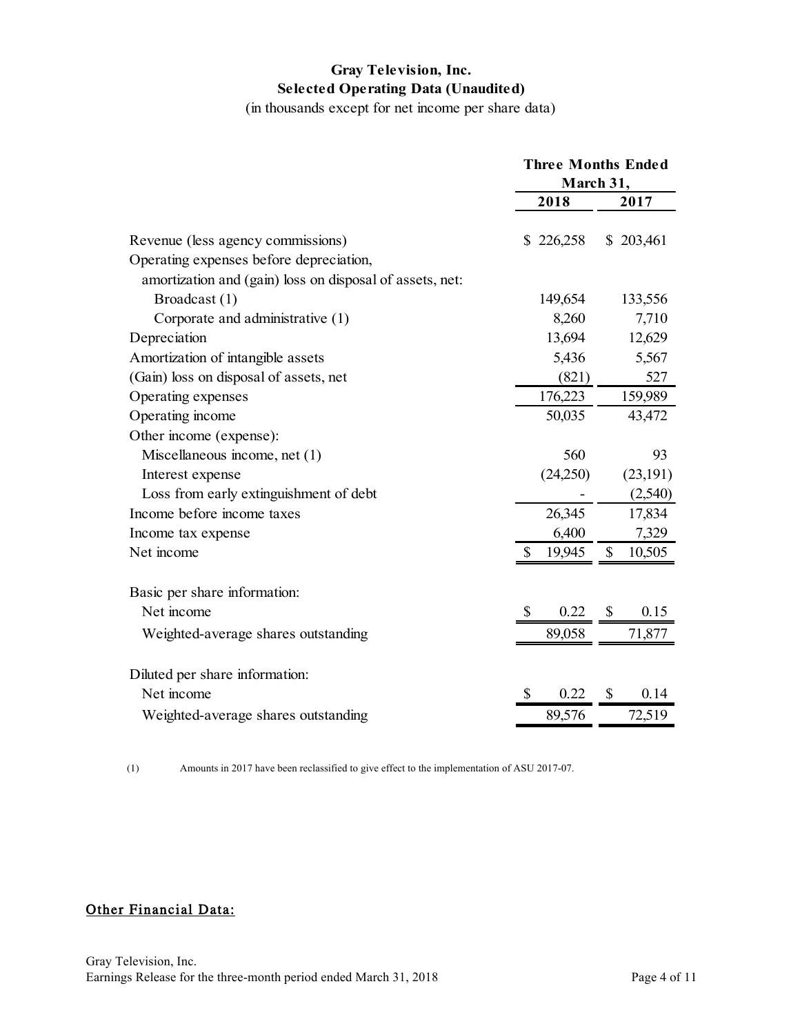## **Gray Television, Inc. Selected Operating Data (Unaudited)**

(in thousands except for net income per share data)

|                                                          |                           | <b>Three Months Ended</b><br>March 31, |              |           |
|----------------------------------------------------------|---------------------------|----------------------------------------|--------------|-----------|
|                                                          |                           | 2018                                   |              | 2017      |
| Revenue (less agency commissions)                        |                           | \$226,258                              |              | \$203,461 |
| Operating expenses before depreciation,                  |                           |                                        |              |           |
| amortization and (gain) loss on disposal of assets, net: |                           |                                        |              |           |
| Broadcast (1)                                            |                           | 149,654                                |              | 133,556   |
| Corporate and administrative (1)                         |                           | 8,260                                  |              | 7,710     |
| Depreciation                                             |                           | 13,694                                 |              | 12,629    |
| Amortization of intangible assets                        |                           | 5,436                                  |              | 5,567     |
| (Gain) loss on disposal of assets, net                   |                           | (821)                                  |              | 527       |
| Operating expenses                                       |                           | 176,223                                |              | 159,989   |
| Operating income                                         |                           | 50,035                                 |              | 43,472    |
| Other income (expense):                                  |                           |                                        |              |           |
| Miscellaneous income, net $(1)$                          |                           | 560                                    |              | 93        |
| Interest expense                                         |                           | (24,250)                               |              | (23,191)  |
| Loss from early extinguishment of debt                   |                           |                                        |              | (2,540)   |
| Income before income taxes                               |                           | 26,345                                 |              | 17,834    |
| Income tax expense                                       |                           | 6,400                                  |              | 7,329     |
| Net income                                               | S                         | 19,945                                 | $\mathbb{S}$ | 10,505    |
| Basic per share information:                             |                           |                                        |              |           |
| Net income                                               | $\boldsymbol{\mathsf{S}}$ | 0.22                                   | $\mathbb{S}$ | 0.15      |
| Weighted-average shares outstanding                      |                           | 89,058                                 |              | 71,877    |
| Diluted per share information:                           |                           |                                        |              |           |
| Net income                                               | \$                        | 0.22                                   | \$           | 0.14      |
| Weighted-average shares outstanding                      |                           | 89,576                                 |              | 72,519    |

(1) Amounts in 2017 have been reclassified to give effect to the implementation of ASU 2017-07.

## Other Financial Data: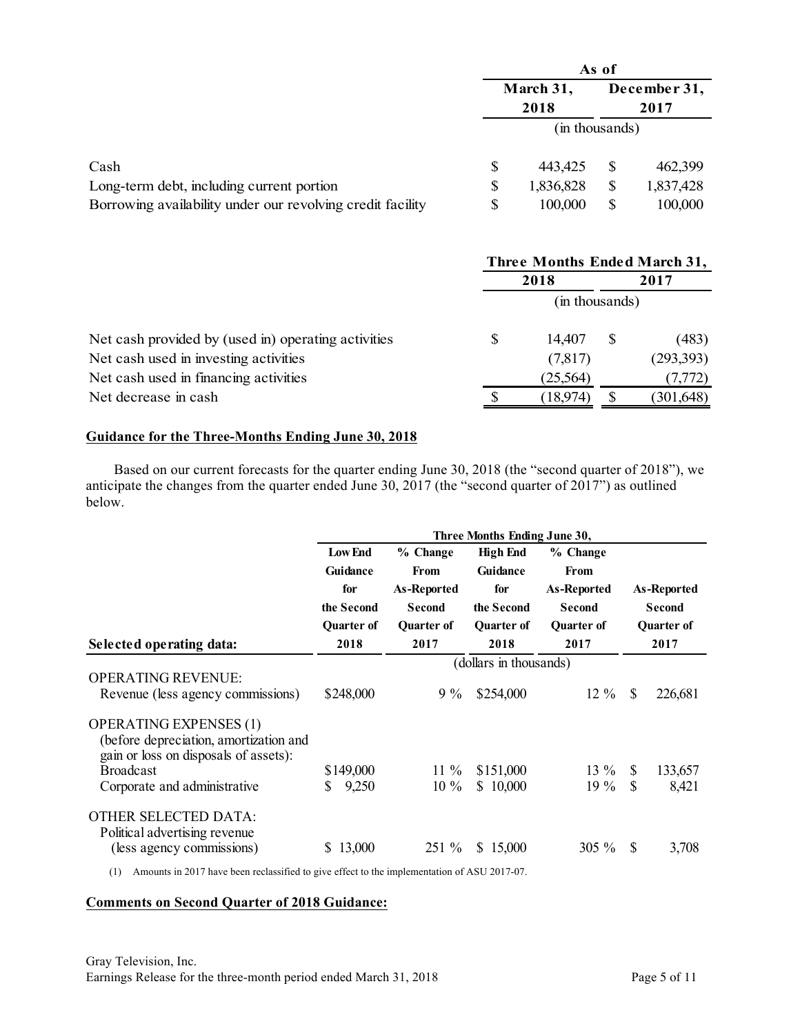|                                                            | As of          |                   |                      |           |  |
|------------------------------------------------------------|----------------|-------------------|----------------------|-----------|--|
|                                                            |                | March 31,<br>2018 | December 31,<br>2017 |           |  |
|                                                            | (in thousands) |                   |                      |           |  |
| Cash                                                       | \$             | 443,425           | S                    | 462,399   |  |
| Long-term debt, including current portion                  | S              | 1,836,828         | \$                   | 1,837,428 |  |
| Borrowing availability under our revolving credit facility |                | 100,000           |                      | 100,000   |  |

|                                                     | Three Months Ended March 31, |           |      |            |  |  |
|-----------------------------------------------------|------------------------------|-----------|------|------------|--|--|
|                                                     | 2018                         |           | 2017 |            |  |  |
|                                                     | (in thousands)               |           |      |            |  |  |
| Net cash provided by (used in) operating activities |                              | 14,407    | S    | (483)      |  |  |
| Net cash used in investing activities               |                              | (7,817)   |      | (293,393)  |  |  |
| Net cash used in financing activities               |                              | (25, 564) |      | (7, 772)   |  |  |
| Net decrease in cash                                |                              | (18,974)  |      | (301, 648) |  |  |

#### **Guidance for the Three-Months Ending June 30, 2018**

Based on our current forecasts for the quarter ending June 30, 2018 (the "second quarter of 2018"), we anticipate the changes from the quarter ended June 30, 2017 (the "second quarter of 2017") as outlined below.

|                                                                                                                                      | Three Months Ending June 30,                                                 |                                                                                      |                                                                               |                                                                                      |    |                                                           |  |  |
|--------------------------------------------------------------------------------------------------------------------------------------|------------------------------------------------------------------------------|--------------------------------------------------------------------------------------|-------------------------------------------------------------------------------|--------------------------------------------------------------------------------------|----|-----------------------------------------------------------|--|--|
| Selected operating data:                                                                                                             | <b>Low End</b><br>Guidance<br>for<br>the Second<br><b>Ouarter of</b><br>2018 | % Change<br><b>From</b><br><b>As-Reported</b><br>Second<br><b>Ouarter of</b><br>2017 | <b>High End</b><br>Guidance<br>for<br>the Second<br><b>Ouarter of</b><br>2018 | % Change<br>From<br><b>As-Reported</b><br><b>Second</b><br><b>Ouarter of</b><br>2017 |    | As-Reported<br><b>Second</b><br><b>Ouarter of</b><br>2017 |  |  |
|                                                                                                                                      |                                                                              | (dollars in thousands)                                                               |                                                                               |                                                                                      |    |                                                           |  |  |
| <b>OPERATING REVENUE:</b><br>Revenue (less agency commissions)                                                                       | \$248,000                                                                    | $9\%$                                                                                | \$254,000                                                                     | $12\%$                                                                               | \$ | 226,681                                                   |  |  |
| <b>OPERATING EXPENSES (1)</b><br>(before depreciation, amortization and<br>gain or loss on disposals of assets):<br><b>Broadcast</b> | \$149,000                                                                    | $11\%$                                                                               | \$151,000                                                                     | $13\%$                                                                               | \$ | 133,657                                                   |  |  |
| Corporate and administrative                                                                                                         | 9,250                                                                        | $10\%$                                                                               | \$10,000                                                                      | $19\%$                                                                               | \$ | 8,421                                                     |  |  |
| <b>OTHER SELECTED DATA:</b><br>Political advertising revenue<br>(less agency commissions)                                            | 13,000<br>S.                                                                 | 251 %                                                                                | \$15,000                                                                      | $305\%$                                                                              | S  | 3,708                                                     |  |  |

(1) Amounts in 2017 have been reclassified to give effect to the implementation of ASU 2017-07.

#### **Comments on Second Quarter of 2018 Guidance:**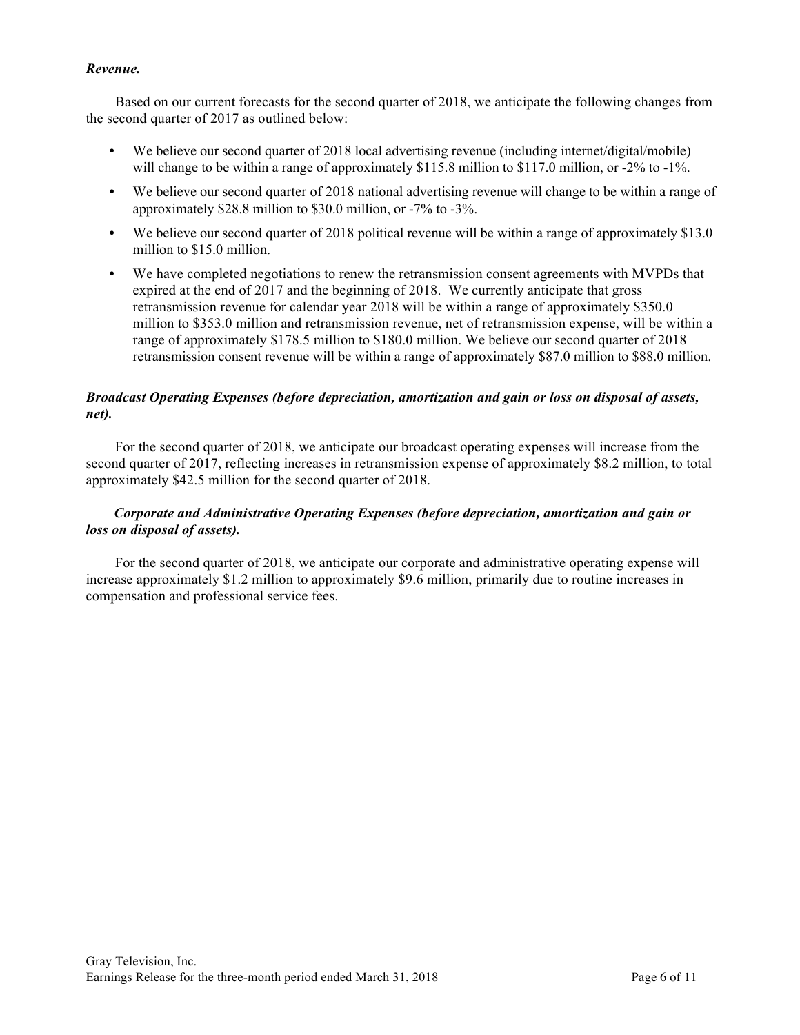## *Revenue.*

Based on our current forecasts for the second quarter of 2018, we anticipate the following changes from the second quarter of 2017 as outlined below:

- We believe our second quarter of 2018 local advertising revenue (including internet/digital/mobile) will change to be within a range of approximately \$115.8 million to \$117.0 million, or -2% to -1%.
- We believe our second quarter of 2018 national advertising revenue will change to be within a range of approximately \$28.8 million to \$30.0 million, or -7% to -3%.
- We believe our second quarter of 2018 political revenue will be within a range of approximately \$13.0 million to \$15.0 million.
- **•** We have completed negotiations to renew the retransmission consent agreements with MVPDs that expired at the end of 2017 and the beginning of 2018. We currently anticipate that gross retransmission revenue for calendar year 2018 will be within a range of approximately \$350.0 million to \$353.0 million and retransmission revenue, net of retransmission expense, will be within a range of approximately \$178.5 million to \$180.0 million. We believe our second quarter of 2018 retransmission consent revenue will be within a range of approximately \$87.0 million to \$88.0 million.

## *Broadcast Operating Expenses (before depreciation, amortization and gain or loss on disposal of assets, net).*

For the second quarter of 2018, we anticipate our broadcast operating expenses will increase from the second quarter of 2017, reflecting increases in retransmission expense of approximately \$8.2 million, to total approximately \$42.5 million for the second quarter of 2018.

## *Corporate and Administrative Operating Expenses (before depreciation, amortization and gain or loss on disposal of assets).*

For the second quarter of 2018, we anticipate our corporate and administrative operating expense will increase approximately \$1.2 million to approximately \$9.6 million, primarily due to routine increases in compensation and professional service fees.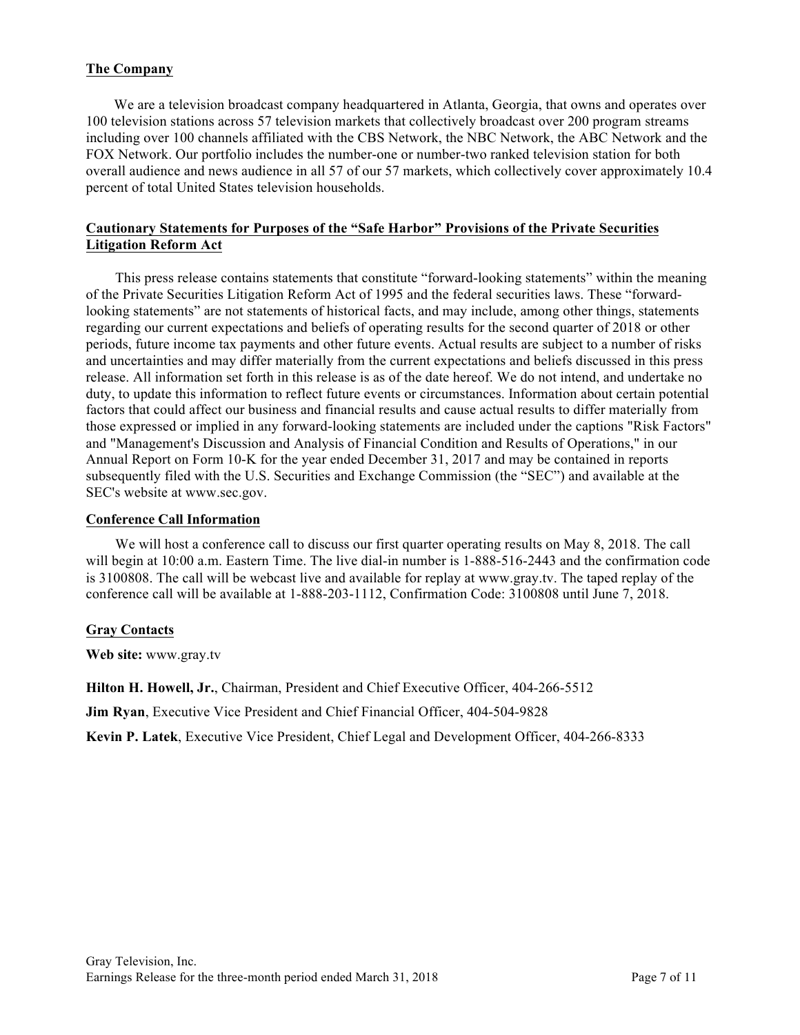### **The Company**

We are a television broadcast company headquartered in Atlanta, Georgia, that owns and operates over 100 television stations across 57 television markets that collectively broadcast over 200 program streams including over 100 channels affiliated with the CBS Network, the NBC Network, the ABC Network and the FOX Network. Our portfolio includes the number-one or number-two ranked television station for both overall audience and news audience in all 57 of our 57 markets, which collectively cover approximately 10.4 percent of total United States television households.

#### **Cautionary Statements for Purposes of the "Safe Harbor" Provisions of the Private Securities Litigation Reform Act**

This press release contains statements that constitute "forward-looking statements" within the meaning of the Private Securities Litigation Reform Act of 1995 and the federal securities laws. These "forwardlooking statements" are not statements of historical facts, and may include, among other things, statements regarding our current expectations and beliefs of operating results for the second quarter of 2018 or other periods, future income tax payments and other future events. Actual results are subject to a number of risks and uncertainties and may differ materially from the current expectations and beliefs discussed in this press release. All information set forth in this release is as of the date hereof. We do not intend, and undertake no duty, to update this information to reflect future events or circumstances. Information about certain potential factors that could affect our business and financial results and cause actual results to differ materially from those expressed or implied in any forward-looking statements are included under the captions "Risk Factors" and "Management's Discussion and Analysis of Financial Condition and Results of Operations," in our Annual Report on Form 10-K for the year ended December 31, 2017 and may be contained in reports subsequently filed with the U.S. Securities and Exchange Commission (the "SEC") and available at the SEC's website at www.sec.gov.

#### **Conference Call Information**

We will host a conference call to discuss our first quarter operating results on May 8, 2018. The call will begin at 10:00 a.m. Eastern Time. The live dial-in number is 1-888-516-2443 and the confirmation code is 3100808. The call will be webcast live and available for replay at www.gray.tv. The taped replay of the conference call will be available at 1-888-203-1112, Confirmation Code: 3100808 until June 7, 2018.

#### **Gray Contacts**

**Web site:** www.gray.tv

**Hilton H. Howell, Jr.**, Chairman, President and Chief Executive Officer, 404-266-5512

**Jim Ryan**, Executive Vice President and Chief Financial Officer, 404-504-9828

**Kevin P. Latek**, Executive Vice President, Chief Legal and Development Officer, 404-266-8333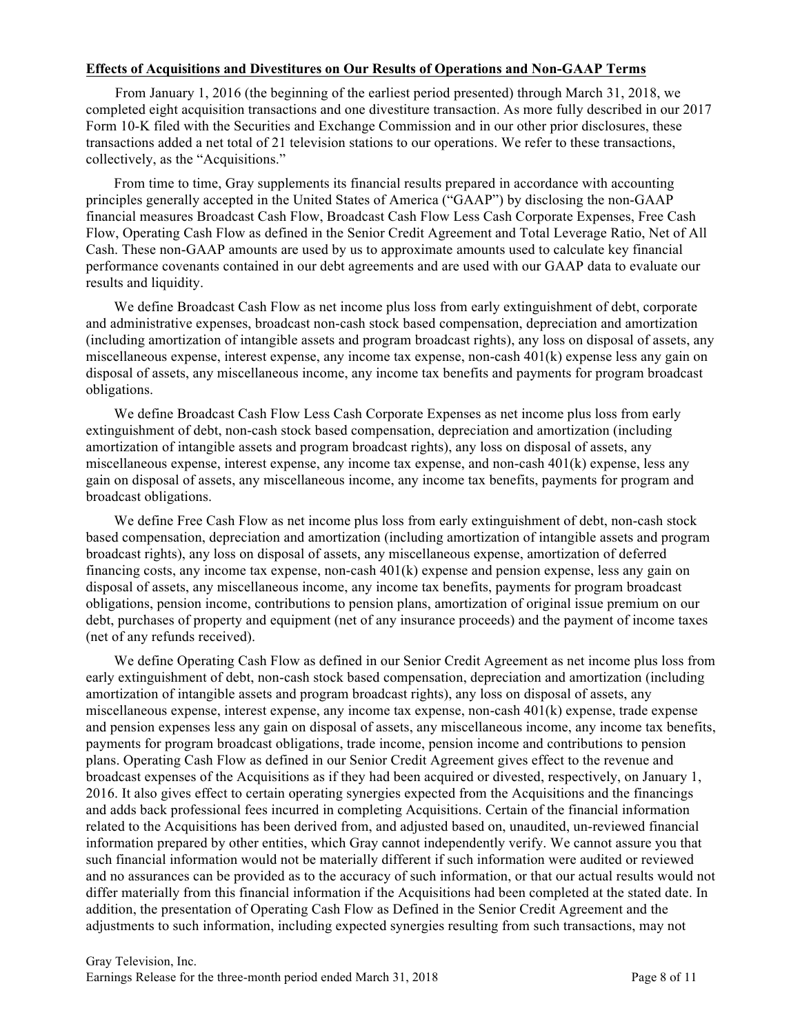#### **Effects of Acquisitions and Divestitures on Our Results of Operations and Non-GAAP Terms**

From January 1, 2016 (the beginning of the earliest period presented) through March 31, 2018, we completed eight acquisition transactions and one divestiture transaction. As more fully described in our 2017 Form 10-K filed with the Securities and Exchange Commission and in our other prior disclosures, these transactions added a net total of 21 television stations to our operations. We refer to these transactions, collectively, as the "Acquisitions."

From time to time, Gray supplements its financial results prepared in accordance with accounting principles generally accepted in the United States of America ("GAAP") by disclosing the non-GAAP financial measures Broadcast Cash Flow, Broadcast Cash Flow Less Cash Corporate Expenses, Free Cash Flow, Operating Cash Flow as defined in the Senior Credit Agreement and Total Leverage Ratio, Net of All Cash. These non-GAAP amounts are used by us to approximate amounts used to calculate key financial performance covenants contained in our debt agreements and are used with our GAAP data to evaluate our results and liquidity.

We define Broadcast Cash Flow as net income plus loss from early extinguishment of debt, corporate and administrative expenses, broadcast non-cash stock based compensation, depreciation and amortization (including amortization of intangible assets and program broadcast rights), any loss on disposal of assets, any miscellaneous expense, interest expense, any income tax expense, non-cash 401(k) expense less any gain on disposal of assets, any miscellaneous income, any income tax benefits and payments for program broadcast obligations.

We define Broadcast Cash Flow Less Cash Corporate Expenses as net income plus loss from early extinguishment of debt, non-cash stock based compensation, depreciation and amortization (including amortization of intangible assets and program broadcast rights), any loss on disposal of assets, any miscellaneous expense, interest expense, any income tax expense, and non-cash 401(k) expense, less any gain on disposal of assets, any miscellaneous income, any income tax benefits, payments for program and broadcast obligations.

We define Free Cash Flow as net income plus loss from early extinguishment of debt, non-cash stock based compensation, depreciation and amortization (including amortization of intangible assets and program broadcast rights), any loss on disposal of assets, any miscellaneous expense, amortization of deferred financing costs, any income tax expense, non-cash 401(k) expense and pension expense, less any gain on disposal of assets, any miscellaneous income, any income tax benefits, payments for program broadcast obligations, pension income, contributions to pension plans, amortization of original issue premium on our debt, purchases of property and equipment (net of any insurance proceeds) and the payment of income taxes (net of any refunds received).

We define Operating Cash Flow as defined in our Senior Credit Agreement as net income plus loss from early extinguishment of debt, non-cash stock based compensation, depreciation and amortization (including amortization of intangible assets and program broadcast rights), any loss on disposal of assets, any miscellaneous expense, interest expense, any income tax expense, non-cash 401(k) expense, trade expense and pension expenses less any gain on disposal of assets, any miscellaneous income, any income tax benefits, payments for program broadcast obligations, trade income, pension income and contributions to pension plans. Operating Cash Flow as defined in our Senior Credit Agreement gives effect to the revenue and broadcast expenses of the Acquisitions as if they had been acquired or divested, respectively, on January 1, 2016. It also gives effect to certain operating synergies expected from the Acquisitions and the financings and adds back professional fees incurred in completing Acquisitions. Certain of the financial information related to the Acquisitions has been derived from, and adjusted based on, unaudited, un-reviewed financial information prepared by other entities, which Gray cannot independently verify. We cannot assure you that such financial information would not be materially different if such information were audited or reviewed and no assurances can be provided as to the accuracy of such information, or that our actual results would not differ materially from this financial information if the Acquisitions had been completed at the stated date. In addition, the presentation of Operating Cash Flow as Defined in the Senior Credit Agreement and the adjustments to such information, including expected synergies resulting from such transactions, may not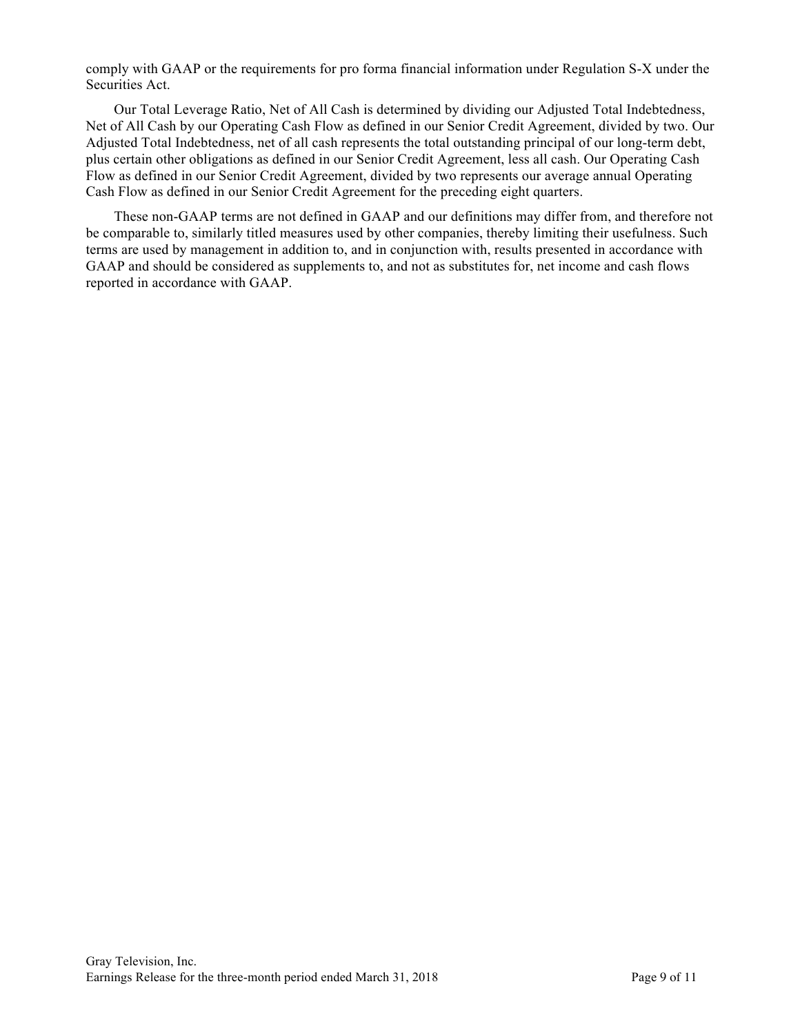comply with GAAP or the requirements for pro forma financial information under Regulation S-X under the Securities Act.

Our Total Leverage Ratio, Net of All Cash is determined by dividing our Adjusted Total Indebtedness, Net of All Cash by our Operating Cash Flow as defined in our Senior Credit Agreement, divided by two. Our Adjusted Total Indebtedness, net of all cash represents the total outstanding principal of our long-term debt, plus certain other obligations as defined in our Senior Credit Agreement, less all cash. Our Operating Cash Flow as defined in our Senior Credit Agreement, divided by two represents our average annual Operating Cash Flow as defined in our Senior Credit Agreement for the preceding eight quarters.

These non-GAAP terms are not defined in GAAP and our definitions may differ from, and therefore not be comparable to, similarly titled measures used by other companies, thereby limiting their usefulness. Such terms are used by management in addition to, and in conjunction with, results presented in accordance with GAAP and should be considered as supplements to, and not as substitutes for, net income and cash flows reported in accordance with GAAP.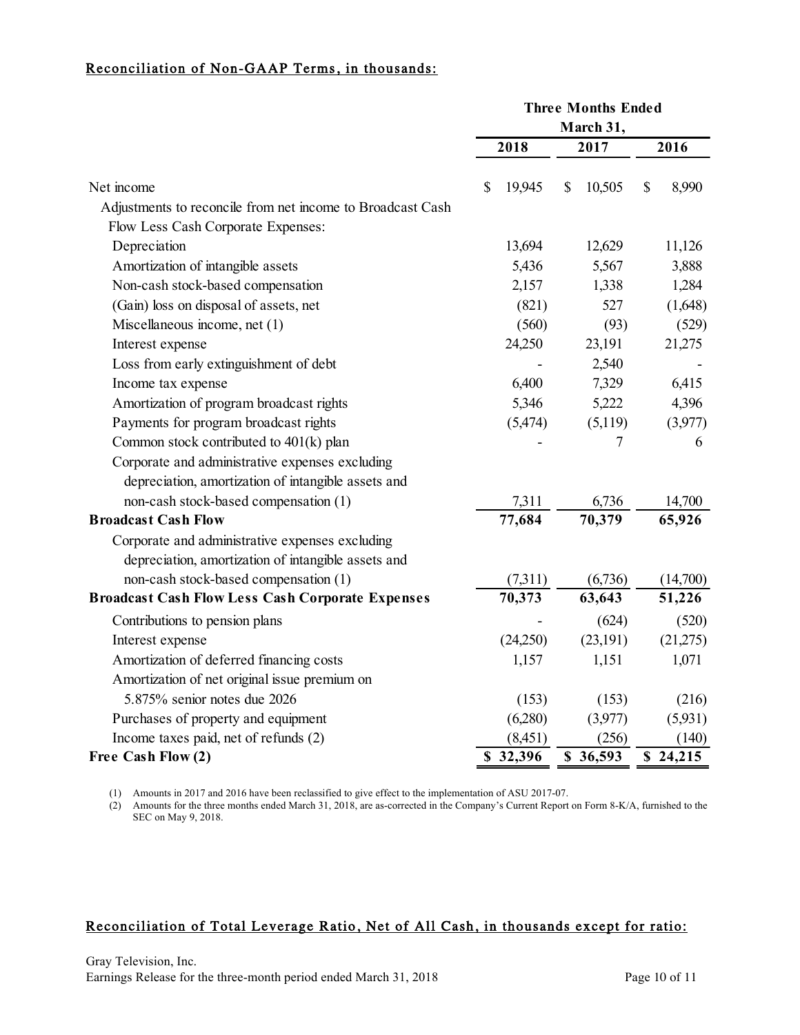# Reconciliation of Non-GAAP Terms, in thousands:

|                                                            | <b>Three Months Ended</b> |  |              |              |          |
|------------------------------------------------------------|---------------------------|--|--------------|--------------|----------|
|                                                            |                           |  |              |              |          |
|                                                            | 2018                      |  | 2017         |              | 2016     |
| Net income                                                 | 19,945<br>S               |  | 10,505<br>\$ | $\mathbb{S}$ | 8,990    |
| Adjustments to reconcile from net income to Broadcast Cash |                           |  |              |              |          |
| Flow Less Cash Corporate Expenses:                         |                           |  |              |              |          |
| Depreciation                                               | 13,694                    |  | 12,629       |              | 11,126   |
| Amortization of intangible assets                          | 5,436                     |  | 5,567        |              | 3,888    |
| Non-cash stock-based compensation                          | 2,157                     |  | 1,338        |              | 1,284    |
| (Gain) loss on disposal of assets, net                     | (821)                     |  | 527          |              | (1,648)  |
| Miscellaneous income, net (1)                              | (560)                     |  | (93)         |              | (529)    |
| Interest expense                                           | 24,250                    |  | 23,191       |              | 21,275   |
| Loss from early extinguishment of debt                     |                           |  | 2,540        |              |          |
| Income tax expense                                         | 6,400                     |  | 7,329        |              | 6,415    |
| Amortization of program broadcast rights                   | 5,346                     |  | 5,222        |              | 4,396    |
| Payments for program broadcast rights                      | (5, 474)                  |  | (5,119)      |              | (3,977)  |
| Common stock contributed to 401(k) plan                    |                           |  | 7            |              | 6        |
| Corporate and administrative expenses excluding            |                           |  |              |              |          |
| depreciation, amortization of intangible assets and        |                           |  |              |              |          |
| non-cash stock-based compensation (1)                      | 7,311                     |  | 6,736        |              | 14,700   |
| <b>Broadcast Cash Flow</b>                                 | 77,684                    |  | 70,379       |              | 65,926   |
| Corporate and administrative expenses excluding            |                           |  |              |              |          |
| depreciation, amortization of intangible assets and        |                           |  |              |              |          |
| non-cash stock-based compensation (1)                      | (7,311)                   |  | (6,736)      |              | (14,700) |
| <b>Broadcast Cash Flow Less Cash Corporate Expenses</b>    | 70,373                    |  | 63,643       |              | 51,226   |
| Contributions to pension plans                             |                           |  | (624)        |              | (520)    |
| Interest expense                                           | (24,250)                  |  | (23, 191)    |              | (21,275) |
| Amortization of deferred financing costs                   | 1,157                     |  | 1,151        |              | 1,071    |
| Amortization of net original issue premium on              |                           |  |              |              |          |
| 5.875% senior notes due 2026                               | (153)                     |  | (153)        |              | (216)    |
| Purchases of property and equipment                        | (6,280)                   |  | (3,977)      |              | (5,931)  |
| Income taxes paid, net of refunds (2)                      | (8,451)                   |  | (256)        |              | (140)    |
| Free Cash Flow (2)                                         | \$32,396                  |  | \$36,593     |              | \$24,215 |

(1) Amounts in 2017 and 2016 have been reclassified to give effect to the implementation of ASU 2017-07.

(2) Amounts for the three months ended March 31, 2018, are as-corrected in the Company's Current Report on Form 8-K/A, furnished to the SEC on May 9, 2018.

#### Reconciliation of Total Leverage Ratio, Net of All Cash, in thousands except for ratio: